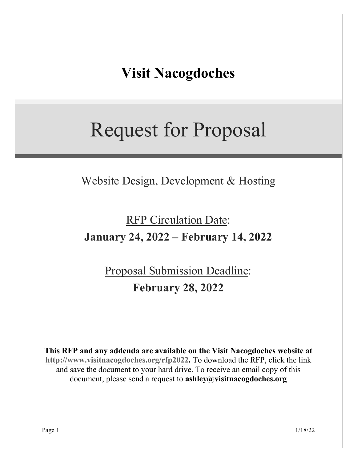# **Visit Nacogdoches**

# Request for Proposal

Website Design, Development & Hosting

# RFP Circulation Date: **January 24, 2022 – February 14, 2022**

# Proposal Submission Deadline: **February 28, 2022**

**This RFP and any addenda are available on the Visit Nacogdoches website at [http://www.visitnacogdoches.org/rfp2022.](http://www.visitnacogdoches.org/rfp2022)** To download the RFP, click the link and save the document to your hard drive. To receive an email copy of this document, please send a request to **ashley@visitnacogdoches.org**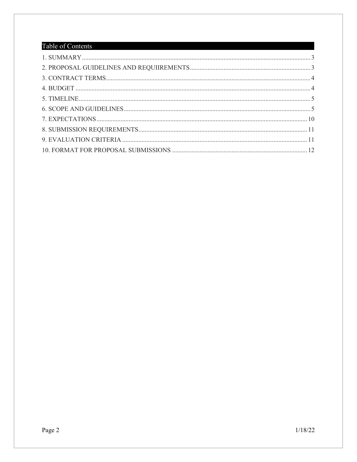### Table of Contents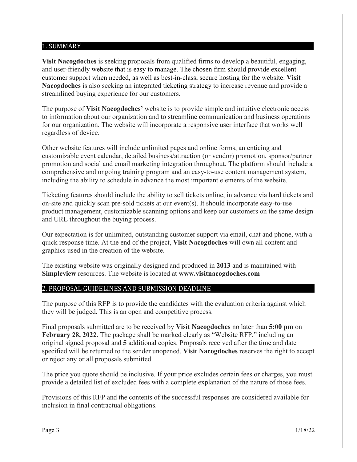### <span id="page-2-0"></span>1. SUMMARY

**Visit Nacogdoches** is seeking proposals from qualified firms to develop a beautiful, engaging, and user-friendly website that is easy to manage. The chosen firm should provide excellent customer support when needed, as well as best-in-class, secure hosting for the website. **Visit Nacogdoches** is also seeking an integrated ticketing strategy to increase revenue and provide a streamlined buying experience for our customers.

The purpose of **Visit Nacogdoches'** website is to provide simple and intuitive electronic access to information about our organization and to streamline communication and business operations for our organization. The website will incorporate a responsive user interface that works well regardless of device.

Other website features will include unlimited pages and online forms, an enticing and customizable event calendar, detailed business/attraction (or vendor) promotion, sponsor/partner promotion and social and email marketing integration throughout. The platform should include a comprehensive and ongoing training program and an easy-to-use content management system, including the ability to schedule in advance the most important elements of the website.

Ticketing features should include the ability to sell tickets online, in advance via hard tickets and on-site and quickly scan pre-sold tickets at our event(s). It should incorporate easy-to-use product management, customizable scanning options and keep our customers on the same design and URL throughout the buying process.

Our expectation is for unlimited, outstanding customer support via email, chat and phone, with a quick response time. At the end of the project, **Visit Nacogdoches** will own all content and graphics used in the creation of the website.

The existing website was originally designed and produced in **2013** and is maintained with **Simpleview** resources. The website is located at **www.visitnacogdoches.com**

#### <span id="page-2-1"></span>2. PROPOSAL GUIDELINES AND SUBMISSION DEADLINE

The purpose of this RFP is to provide the candidates with the evaluation criteria against which they will be judged. This is an open and competitive process.

Final proposals submitted are to be received by **Visit Nacogdoches** no later than **5:00 pm** on **February 28, 2022.** The package shall be marked clearly as "Website RFP," including an original signed proposal and **5** additional copies. Proposals received after the time and date specified will be returned to the sender unopened. **Visit Nacogdoches** reserves the right to accept or reject any or all proposals submitted.

The price you quote should be inclusive. If your price excludes certain fees or charges, you must provide a detailed list of excluded fees with a complete explanation of the nature of those fees.

Provisions of this RFP and the contents of the successful responses are considered available for inclusion in final contractual obligations.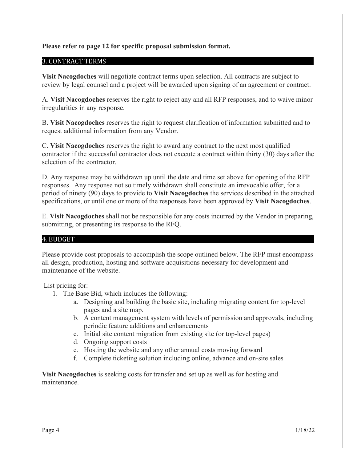#### **Please refer to page 12 for specific proposal submission format.**

#### <span id="page-3-0"></span>3. CONTRACT TERMS

**Visit Nacogdoches** will negotiate contract terms upon selection. All contracts are subject to review by legal counsel and a project will be awarded upon signing of an agreement or contract.

A. **Visit Nacogdoches** reserves the right to reject any and all RFP responses, and to waive minor irregularities in any response.

B. **Visit Nacogdoches** reserves the right to request clarification of information submitted and to request additional information from any Vendor.

C. **Visit Nacogdoches** reserves the right to award any contract to the next most qualified contractor if the successful contractor does not execute a contract within thirty (30) days after the selection of the contractor.

D. Any response may be withdrawn up until the date and time set above for opening of the RFP responses. Any response not so timely withdrawn shall constitute an irrevocable offer, for a period of ninety (90) days to provide to **Visit Nacogdoches** the services described in the attached specifications, or until one or more of the responses have been approved by **Visit Nacogdoches**.

E. **Visit Nacogdoches** shall not be responsible for any costs incurred by the Vendor in preparing, submitting, or presenting its response to the RFQ.

## <span id="page-3-1"></span>4. BUDGET…………………………………………………………… …………………………

Please provide cost proposals to accomplish the scope outlined below. The RFP must encompass all design, production, hosting and software acquisitions necessary for development and maintenance of the website.

List pricing for:

- 1. The Base Bid, which includes the following:
	- a. Designing and building the basic site, including migrating content for top-level pages and a site map.
	- b. A content management system with levels of permission and approvals, including periodic feature additions and enhancements
	- c. Initial site content migration from existing site (or top-level pages)
	- d. Ongoing support costs
	- e. Hosting the website and any other annual costs moving forward
	- f. Complete ticketing solution including online, advance and on-site sales

**Visit Nacogdoches** is seeking costs for transfer and set up as well as for hosting and maintenance.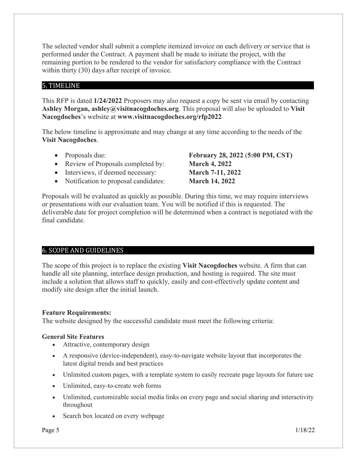The selected vendor shall submit a complete itemized invoice on each delivery or service that is performed under the Contract. A payment shall be made to initiate the project, with the remaining portion to be rendered to the vendor for satisfactory compliance with the Contract within thirty (30) days after receipt of invoice.

## <span id="page-4-0"></span>5. TIMELINE

This RFP is dated **1/24/2022** Proposers may also request a copy be sent via email by contacting **Ashley Morgan, ashley@visitnacogdoches.org**. This proposal will also be uploaded to **Visit Nacogdoches**'s website at **www.visitnacogdoches.org/rfp2022**

The below timeline is approximate and may change at any time according to the needs of the **Visit Nacogdoches**.

- 
- Review of Proposals completed by: **March 4, 2022**
- Interviews, if deemed necessary: **March 7-11, 2022**
- Notification to proposal candidates: **March 14, 2022**

• Proposals due: **February 28, 2022** (**5:00 PM, CST)**

Proposals will be evaluated as quickly as possible. During this time, we may require interviews or presentations with our evaluation team. You will be notified if this is requested. The deliverable date for project completion will be determined when a contract is negotiated with the final candidate.

#### <span id="page-4-1"></span>6. SCOPE AND GUIDELINES

The scope of this project is to replace the existing **Visit Nacogdoches** website. A firm that can handle all site planning, interface design production, and hosting is required. The site must include a solution that allows staff to quickly, easily and cost-effectively update content and modify site design after the initial launch.

#### **Feature Requirements:**

The website designed by the successful candidate must meet the following criteria:

#### **General Site Features**

- Attractive, contemporary design
- A responsive (device-independent), easy-to-navigate website layout that incorporates the latest digital trends and best practices
- Unlimited custom pages, with a template system to easily recreate page layouts for future use
- Unlimited, easy-to-create web forms
- Unlimited, customizable social media links on every page and social sharing and interactivity throughout
- Search box located on every webpage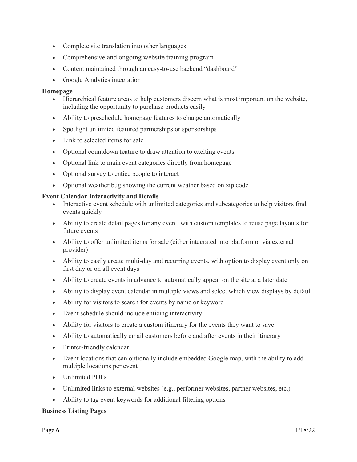- Complete site translation into other languages
- Comprehensive and ongoing website training program
- Content maintained through an easy-to-use backend "dashboard"
- Google Analytics integration

#### **Homepage**

- Hierarchical feature areas to help customers discern what is most important on the website, including the opportunity to purchase products easily
- Ability to preschedule homepage features to change automatically
- Spotlight unlimited featured partnerships or sponsorships
- Link to selected items for sale
- Optional countdown feature to draw attention to exciting events
- Optional link to main event categories directly from homepage
- Optional survey to entice people to interact
- Optional weather bug showing the current weather based on zip code

#### **Event Calendar Interactivity and Details**

- Interactive event schedule with unlimited categories and subcategories to help visitors find events quickly
- Ability to create detail pages for any event, with custom templates to reuse page layouts for future events
- Ability to offer unlimited items for sale (either integrated into platform or via external provider)
- Ability to easily create multi-day and recurring events, with option to display event only on first day or on all event days
- Ability to create events in advance to automatically appear on the site at a later date
- Ability to display event calendar in multiple views and select which view displays by default
- Ability for visitors to search for events by name or keyword
- Event schedule should include enticing interactivity
- Ability for visitors to create a custom itinerary for the events they want to save
- Ability to automatically email customers before and after events in their itinerary
- Printer-friendly calendar
- Event locations that can optionally include embedded Google map, with the ability to add multiple locations per event
- Unlimited PDFs
- Unlimited links to external websites (e.g., performer websites, partner websites, etc.)
- Ability to tag event keywords for additional filtering options

#### **Business Listing Pages**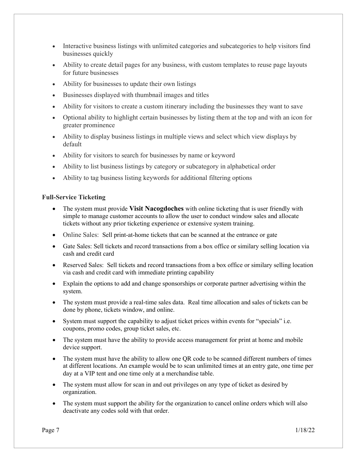- Interactive business listings with unlimited categories and subcategories to help visitors find businesses quickly
- Ability to create detail pages for any business, with custom templates to reuse page layouts for future businesses
- Ability for businesses to update their own listings
- Businesses displayed with thumbnail images and titles
- Ability for visitors to create a custom itinerary including the businesses they want to save
- Optional ability to highlight certain businesses by listing them at the top and with an icon for greater prominence
- Ability to display business listings in multiple views and select which view displays by default
- Ability for visitors to search for businesses by name or keyword
- Ability to list business listings by category or subcategory in alphabetical order
- Ability to tag business listing keywords for additional filtering options

#### **Full-Service Ticketing**

- The system must provide **Visit Nacogdoches** with online ticketing that is user friendly with simple to manage customer accounts to allow the user to conduct window sales and allocate tickets without any prior ticketing experience or extensive system training.
- Online Sales: Sell print-at-home tickets that can be scanned at the entrance or gate
- Gate Sales: Sell tickets and record transactions from a box office or similary selling location via cash and credit card
- Reserved Sales: Sell tickets and record transactions from a box office or similary selling location via cash and credit card with immediate printing capability
- Explain the options to add and change sponsorships or corporate partner advertising within the system.
- The system must provide a real-time sales data. Real time allocation and sales of tickets can be done by phone, tickets window, and online.
- System must support the capability to adjust ticket prices within events for "specials" i.e. coupons, promo codes, group ticket sales, etc.
- The system must have the ability to provide access management for print at home and mobile device support.
- The system must have the ability to allow one OR code to be scanned different numbers of times at different locations. An example would be to scan unlimited times at an entry gate, one time per day at a VIP tent and one time only at a merchandise table.
- The system must allow for scan in and out privileges on any type of ticket as desired by organization.
- The system must support the ability for the organization to cancel online orders which will also deactivate any codes sold with that order.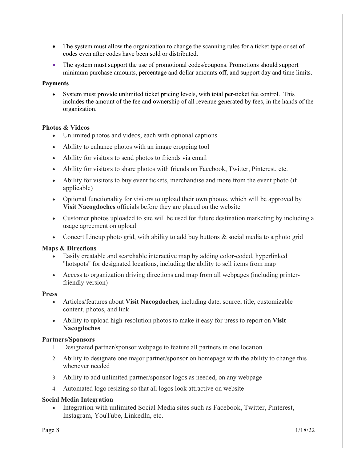- The system must allow the organization to change the scanning rules for a ticket type or set of codes even after codes have been sold or distributed.
- The system must support the use of promotional codes/coupons. Promotions should support minimum purchase amounts, percentage and dollar amounts off, and support day and time limits.

#### **Payments**

• System must provide unlimited ticket pricing levels, with total per-ticket fee control. This includes the amount of the fee and ownership of all revenue generated by fees, in the hands of the organization.

#### **Photos & Videos**

- Unlimited photos and videos, each with optional captions
- Ability to enhance photos with an image cropping tool
- Ability for visitors to send photos to friends via email
- Ability for visitors to share photos with friends on Facebook, Twitter, Pinterest, etc.
- Ability for visitors to buy event tickets, merchandise and more from the event photo (if applicable)
- Optional functionality for visitors to upload their own photos, which will be approved by **Visit Nacogdoches** officials before they are placed on the website
- Customer photos uploaded to site will be used for future destination marketing by including a usage agreement on upload
- Concert Lineup photo grid, with ability to add buy buttons & social media to a photo grid

#### **Maps & Directions**

- Easily creatable and searchable interactive map by adding color-coded, hyperlinked "hotspots" for designated locations, including the ability to sell items from map
- Access to organization driving directions and map from all webpages (including printerfriendly version)

#### **Press**

- Articles/features about **Visit Nacogdoches**, including date, source, title, customizable content, photos, and link
- Ability to upload high-resolution photos to make it easy for press to report on **Visit Nacogdoches**

#### **Partners/Sponsors**

- 1. Designated partner/sponsor webpage to feature all partners in one location
- 2. Ability to designate one major partner/sponsor on homepage with the ability to change this whenever needed
- 3. Ability to add unlimited partner/sponsor logos as needed, on any webpage
- 4. Automated logo resizing so that all logos look attractive on website

#### **Social Media Integration**

• Integration with unlimited Social Media sites such as Facebook, Twitter, Pinterest, Instagram, YouTube, LinkedIn, etc.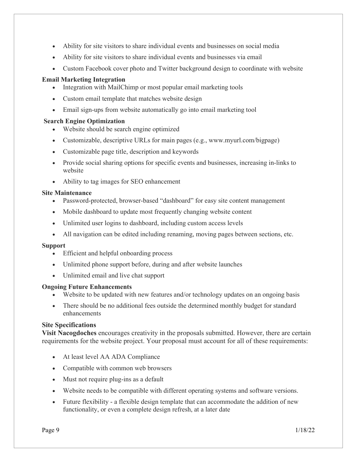- Ability for site visitors to share individual events and businesses on social media
- Ability for site visitors to share individual events and businesses via email
- Custom Facebook cover photo and Twitter background design to coordinate with website

#### **Email Marketing Integration**

- Integration with MailChimp or most popular email marketing tools
- Custom email template that matches website design
- Email sign-ups from website automatically go into email marketing tool

#### **Search Engine Optimization**

- Website should be search engine optimized
- Customizable, descriptive URLs for main pages (e.g., www.myurl.com/bigpage)
- Customizable page title, description and keywords
- Provide social sharing options for specific events and businesses, increasing in-links to website
- Ability to tag images for SEO enhancement

#### **Site Maintenance**

- Password-protected, browser-based "dashboard" for easy site content management
- Mobile dashboard to update most frequently changing website content
- Unlimited user logins to dashboard, including custom access levels
- All navigation can be edited including renaming, moving pages between sections, etc.

#### **Support**

- Efficient and helpful onboarding process
- Unlimited phone support before, during and after website launches
- Unlimited email and live chat support

#### **Ongoing Future Enhancements**

- Website to be updated with new features and/or technology updates on an ongoing basis
- There should be no additional fees outside the determined monthly budget for standard enhancements

#### **Site Specifications**

**Visit Nacogdoches** encourages creativity in the proposals submitted. However, there are certain requirements for the website project. Your proposal must account for all of these requirements:

- At least level AA ADA Compliance
- Compatible with common web browsers
- Must not require plug-ins as a default
- Website needs to be compatible with different operating systems and software versions.
- Future flexibility a flexible design template that can accommodate the addition of new functionality, or even a complete design refresh, at a later date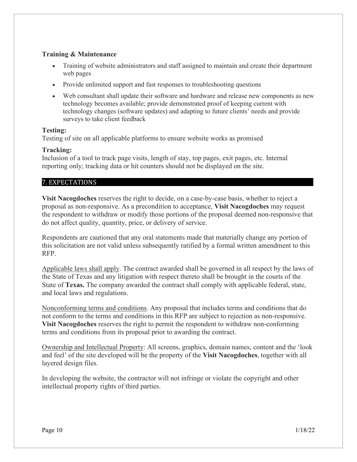#### **Training & Maintenance**

- Training of website administrators and staff assigned to maintain and create their department web pages
- Provide unlimited support and fast responses to troubleshooting questions
- Web consultant shall update their software and hardware and release new components as new technology becomes available; provide demonstrated proof of keeping current with technology changes (software updates) and adapting to future clients' needs and provide surveys to take client feedback

#### **Testing:**

Testing of site on all applicable platforms to ensure website works as promised

#### **Tracking:**

Inclusion of a tool to track page visits, length of stay, top pages, exit pages, etc. Internal reporting only; tracking data or hit counters should not be displayed on the site.

#### <span id="page-9-0"></span>7. EXPECTATIONS……………………………………………………………vv ………………...

**Visit Nacogdoches** reserves the right to decide, on a case-by-case basis, whether to reject a proposal as non-responsive. As a precondition to acceptance, **Visit Nacogdoches** may request the respondent to withdraw or modify those portions of the proposal deemed non-responsive that do not affect quality, quantity, price, or delivery of service.

Respondents are cautioned that any oral statements made that materially change any portion of this solicitation are not valid unless subsequently ratified by a formal written amendment to this RFP.

Applicable laws shall apply. The contract awarded shall be governed in all respect by the laws of the State of Texas and any litigation with respect thereto shall be brought in the courts of the State of **Texas.** The company awarded the contract shall comply with applicable federal, state, and local laws and regulations.

Nonconforming terms and conditions. Any proposal that includes terms and conditions that do not conform to the terms and conditions in this RFP are subject to rejection as non-responsive. **Visit Nacogdoches** reserves the right to permit the respondent to withdraw non-conforming terms and conditions from its proposal prior to awarding the contract.

Ownership and Intellectual Property: All screens, graphics, domain names, content and the 'look and feel' of the site developed will be the property of the **Visit Nacogdoches**, together with all layered design files.

In developing the website, the contractor will not infringe or violate the copyright and other intellectual property rights of third parties.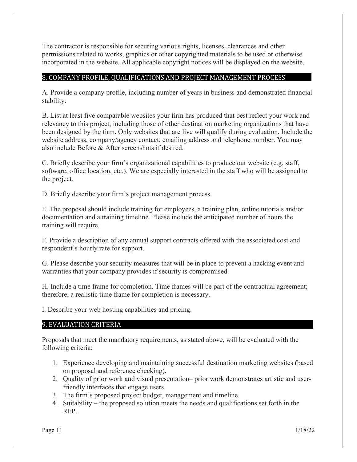The contractor is responsible for securing various rights, licenses, clearances and other permissions related to works, graphics or other copyrighted materials to be used or otherwise incorporated in the website. All applicable copyright notices will be displayed on the website.

#### <span id="page-10-0"></span>8. COMPANY PROFILE, QUALIFICATIONS AND PROJECT MANAGEMENT PROCESS

A. Provide a company profile, including number of years in business and demonstrated financial stability.

B. List at least five comparable websites your firm has produced that best reflect your work and relevancy to this project, including those of other destination marketing organizations that have been designed by the firm. Only websites that are live will qualify during evaluation. Include the website address, company/agency contact, emailing address and telephone number. You may also include Before & After screenshots if desired.

C. Briefly describe your firm's organizational capabilities to produce our website (e.g. staff, software, office location, etc.). We are especially interested in the staff who will be assigned to the project.

D. Briefly describe your firm's project management process.

E. The proposal should include training for employees, a training plan, online tutorials and/or documentation and a training timeline. Please include the anticipated number of hours the training will require.

F. Provide a description of any annual support contracts offered with the associated cost and respondent's hourly rate for support.

G. Please describe your security measures that will be in place to prevent a hacking event and warranties that your company provides if security is compromised.

H. Include a time frame for completion. Time frames will be part of the contractual agreement; therefore, a realistic time frame for completion is necessary.

I. Describe your web hosting capabilities and pricing.

#### <span id="page-10-1"></span>9. EVALUATION CRITERIA

Proposals that meet the mandatory requirements, as stated above, will be evaluated with the following criteria:

- 1. Experience developing and maintaining successful destination marketing websites (based on proposal and reference checking).
- 2. Quality of prior work and visual presentation– prior work demonstrates artistic and userfriendly interfaces that engage users.
- 3. The firm's proposed project budget, management and timeline.
- 4. Suitability the proposed solution meets the needs and qualifications set forth in the RFP.